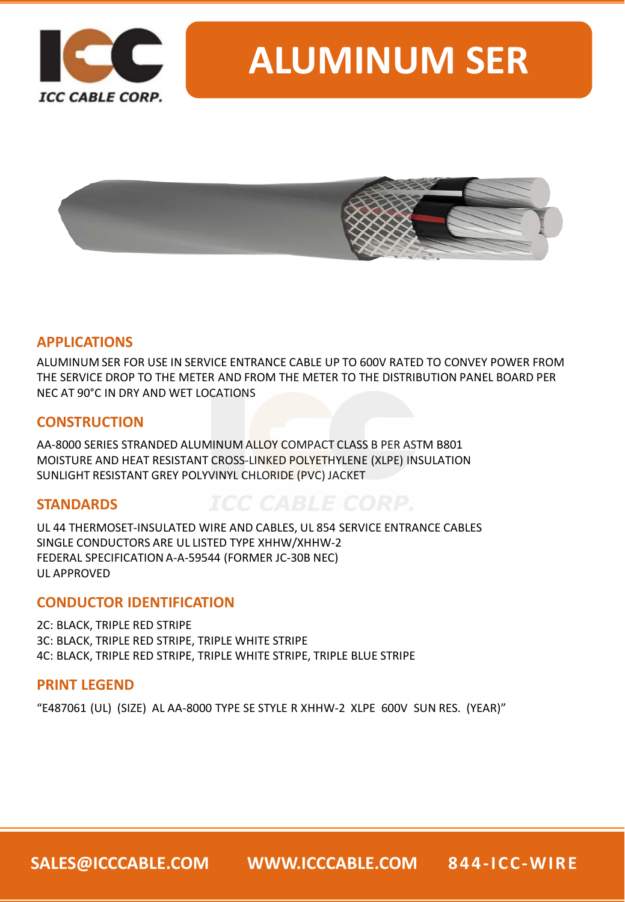

# **ALUMINUM SER**



### **APPLICATIONS**

ALUMINUM SER FOR USE IN SERVICE ENTRANCE CABLE UP TO 600V RATED TO CONVEY POWER FROM THE SERVICE DROP TO THE METER AND FROM THE METER TO THE DISTRIBUTION PANEL BOARD PER NEC AT 90°C IN DRY AND WET LOCATIONS

### **CONSTRUCTION**

AA-8000 SERIES STRANDED ALUMINUM ALLOY COMPACT CLASS B PER ASTM B801 MOISTURE AND HEAT RESISTANT CROSS-LINKED POLYETHYLENE (XLPE) INSULATION SUNLIGHT RESISTANT GREY POLYVINYL CHLORIDE (PVC) JACKET

### **STANDARDS**

UL 44 THERMOSET-INSULATED WIRE AND CABLES, UL 854 SERVICE ENTRANCE CABLES SINGLE CONDUCTORS ARE UL LISTED TYPE XHHW/XHHW-2 FEDERAL SPECIFICATION A-A-59544 (FORMER JC-30B NEC) UL APPROVED

### **CONDUCTOR IDENTIFICATION**

2C: BLACK, TRIPLE RED STRIPE 3C: BLACK, TRIPLE RED STRIPE, TRIPLE WHITE STRIPE 4C: BLACK, TRIPLE RED STRIPE, TRIPLE WHITE STRIPE, TRIPLE BLUE STRIPE

### **PRINT LEGEND**

"E487061 (UL) (SIZE) AL AA-8000 TYPE SE STYLE R XHHW-2 XLPE 600V SUN RES. (YEAR)"